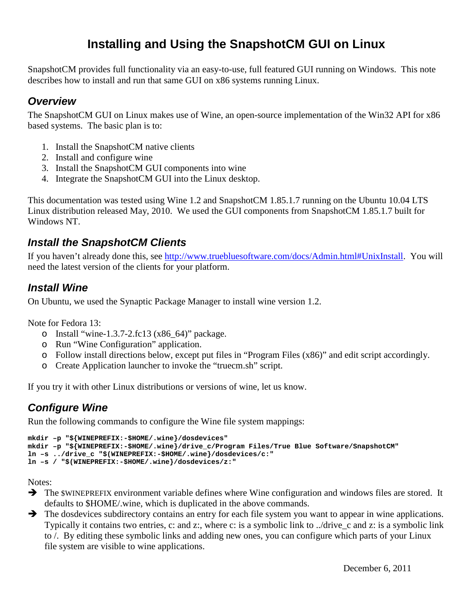# **Installing and Using the SnapshotCM GUI on Linux**

SnapshotCM provides full functionality via an easy-to-use, full featured GUI running on Windows. This note describes how to install and run that same GUI on x86 systems running Linux.

#### **Overview**

The SnapshotCM GUI on Linux makes use of Wine, an open-source implementation of the Win32 API for x86 based systems. The basic plan is to:

- 1. Install the SnapshotCM native clients
- 2. Install and configure wine
- 3. Install the SnapshotCM GUI components into wine
- 4. Integrate the SnapshotCM GUI into the Linux desktop.

This documentation was tested using Wine 1.2 and SnapshotCM 1.85.1.7 running on the Ubuntu 10.04 LTS Linux distribution released May, 2010. We used the GUI components from SnapshotCM 1.85.1.7 built for Windows NT.

### **Install the SnapshotCM Clients**

If you haven't already done this, see http://www.truebluesoftware.com/docs/Admin.html#UnixInstall. You will need the latest version of the clients for your platform.

### **Install Wine**

On Ubuntu, we used the Synaptic Package Manager to install wine version 1.2.

Note for Fedora 13:

- o Install "wine-1.3.7-2.fc13 (x86  $64$ )" package.
- o Run "Wine Configuration" application.
- o Follow install directions below, except put files in "Program Files (x86)" and edit script accordingly.
- o Create Application launcher to invoke the "truecm.sh" script.

If you try it with other Linux distributions or versions of wine, let us know.

### **Configure Wine**

Run the following commands to configure the Wine file system mappings:

```
mkdir –p "${WINEPREFIX:-$HOME/.wine}/dosdevices" 
mkdir –p "${WINEPREFIX:-$HOME/.wine}/drive_c/Program Files/True Blue Software/SnapshotCM" 
ln –s ../drive_c "$(WINEPREFIX:-$HOME/.wine}/dosdevices/c:" 
ln –s / "$(WINEPREFIX:-$HOME/.wine}/dosdevices/z:"
```
Notes:

- $\rightarrow$  The \$WINEPREFIX environment variable defines where Wine configuration and windows files are stored. It defaults to \$HOME/.wine, which is duplicated in the above commands.
- $\rightarrow$  The dosdevices subdirectory contains an entry for each file system you want to appear in wine applications. Typically it contains two entries, c: and z:, where c: is a symbolic link to ../drive\_c and z: is a symbolic link to /. By editing these symbolic links and adding new ones, you can configure which parts of your Linux file system are visible to wine applications.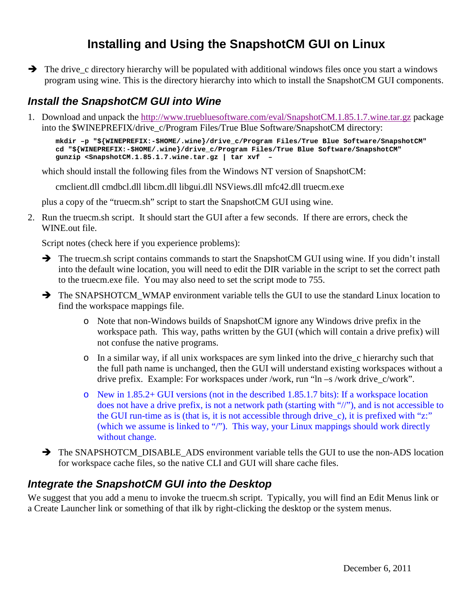# **Installing and Using the SnapshotCM GUI on Linux**

 $\rightarrow$  The drive c directory hierarchy will be populated with additional windows files once you start a windows program using wine. This is the directory hierarchy into which to install the SnapshotCM GUI components.

### **Install the SnapshotCM GUI into Wine**

1. Download and unpack the http://www.truebluesoftware.com/eval/SnapshotCM.1.85.1.7.wine.tar.gz package into the \$WINEPREFIX/drive\_c/Program Files/True Blue Software/SnapshotCM directory:

```
mkdir –p "${WINEPREFIX:-$HOME/.wine}/drive_c/Program Files/True Blue Software/SnapshotCM" 
cd "${WINEPREFIX:-$HOME/.wine}/drive_c/Program Files/True Blue Software/SnapshotCM" 
gunzip <SnapshotCM.1.85.1.7.wine.tar.gz | tar xvf –
```
which should install the following files from the Windows NT version of SnapshotCM:

cmclient.dll cmdbcl.dll libcm.dll libgui.dll NSViews.dll mfc42.dll truecm.exe

plus a copy of the "truecm.sh" script to start the SnapshotCM GUI using wine.

2. Run the truecm.sh script. It should start the GUI after a few seconds. If there are errors, check the WINE.out file.

Script notes (check here if you experience problems):

- The truecm.sh script contains commands to start the SnapshotCM GUI using wine. If you didn't install into the default wine location, you will need to edit the DIR variable in the script to set the correct path to the truecm.exe file. You may also need to set the script mode to 755.
- $\rightarrow$  The SNAPSHOTCM\_WMAP environment variable tells the GUI to use the standard Linux location to find the workspace mappings file.
	- o Note that non-Windows builds of SnapshotCM ignore any Windows drive prefix in the workspace path. This way, paths written by the GUI (which will contain a drive prefix) will not confuse the native programs.
	- o In a similar way, if all unix workspaces are sym linked into the drive\_c hierarchy such that the full path name is unchanged, then the GUI will understand existing workspaces without a drive prefix. Example: For workspaces under /work, run "ln –s /work drive\_c/work".
	- o New in 1.85.2+ GUI versions (not in the described 1.85.1.7 bits): If a workspace location does not have a drive prefix, is not a network path (starting with "//"), and is not accessible to the GUI run-time as is (that is, it is not accessible through drive\_c), it is prefixed with "z:" (which we assume is linked to "/"). This way, your Linux mappings should work directly without change.
- $\rightarrow$  The SNAPSHOTCM\_DISABLE\_ADS environment variable tells the GUI to use the non-ADS location for workspace cache files, so the native CLI and GUI will share cache files.

### **Integrate the SnapshotCM GUI into the Desktop**

We suggest that you add a menu to invoke the truecm.sh script. Typically, you will find an Edit Menus link or a Create Launcher link or something of that ilk by right-clicking the desktop or the system menus.